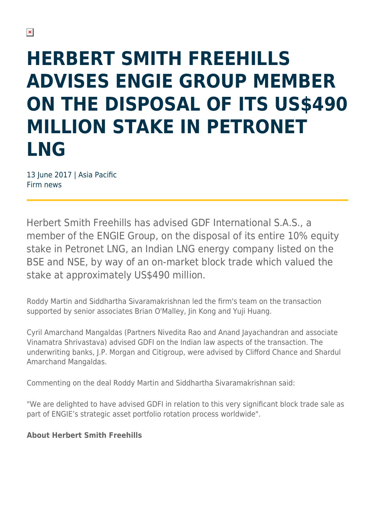## **HERBERT SMITH FREEHILLS ADVISES ENGIE GROUP MEMBER ON THE DISPOSAL OF ITS US\$490 MILLION STAKE IN PETRONET LNG**

13 June 2017 | Asia Pacific Firm news

Herbert Smith Freehills has advised GDF International S.A.S., a member of the ENGIE Group, on the disposal of its entire 10% equity stake in Petronet LNG, an Indian LNG energy company listed on the BSE and NSE, by way of an on-market block trade which valued the stake at approximately US\$490 million.

Roddy Martin and Siddhartha Sivaramakrishnan led the firm's team on the transaction supported by senior associates Brian O'Malley, Jin Kong and Yuji Huang.

Cyril Amarchand Mangaldas (Partners Nivedita Rao and Anand Jayachandran and associate Vinamatra Shrivastava) advised GDFI on the Indian law aspects of the transaction. The underwriting banks, J.P. Morgan and Citigroup, were advised by Clifford Chance and Shardul Amarchand Mangaldas.

Commenting on the deal Roddy Martin and Siddhartha Sivaramakrishnan said:

"We are delighted to have advised GDFI in relation to this very significant block trade sale as part of ENGIE's strategic asset portfolio rotation process worldwide".

## **About Herbert Smith Freehills**